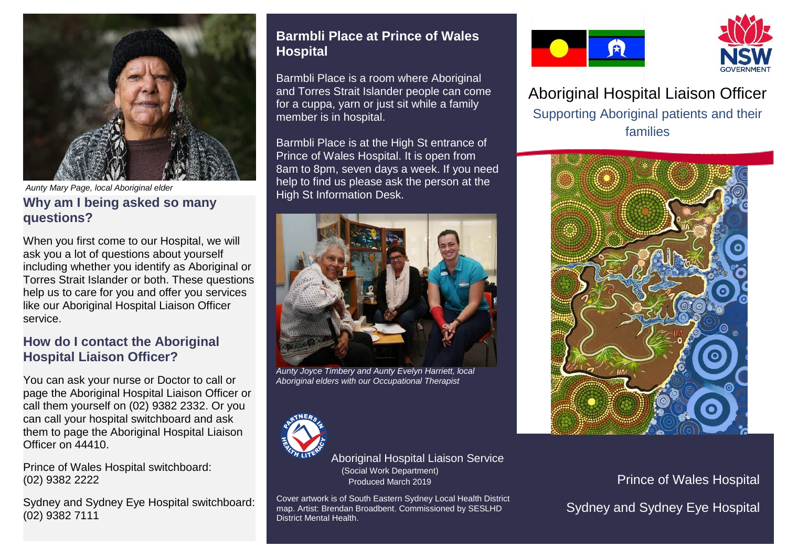

*Aunty Mary Page, local Aboriginal elder*

### **Why am I being asked so many questions?**

When you first come to our Hospital, we will ask you a lot of questions about yourself including whether you identify as Aboriginal or Torres Strait Islander or both. These questions help us to care for you and offer you services like our Aboriginal Hospital Liaison Officer service.

### **How do I contact the Aboriginal Hospital Liaison Officer?**

You can ask your nurse or Doctor to call or page the Aboriginal Hospital Liaison Officer or call them yourself on (02) 9382 2332. Or you can call your hospital switchboard and ask them to page the Aboriginal Hospital Liaison Officer on 44410.

Prince of Wales Hospital switchboard: (02) 9382 2222

Sydney and Sydney Eye Hospital switchboard: (02) 9382 7111

## **Barmbli Place at Prince of Wales Hospital**

Barmbli Place is a room where Aboriginal and Torres Strait Islander people can come for a cuppa, yarn or just sit while a family member is in hospital.

Barmbli Place is at the High St entrance of Prince of Wales Hospital. It is open from 8am to 8pm, seven days a week. If you need help to find us please ask the person at the High St Information Desk.



*Aunty Joyce Timbery and Aunty Evelyn Harriett, local Aboriginal elders with our Occupational Therapist*



Aboriginal Hospital Liaison Service (Social Work Department) Produced March 2019

Cover artwork is of South Eastern Sydney Local Health District map. Artist: Brendan Broadbent. Commissioned by SESLHD District Mental Health.





Aboriginal Hospital Liaison Officer Supporting Aboriginal patients and their families



Prince of Wales Hospital Sydney and Sydney Eye Hospital